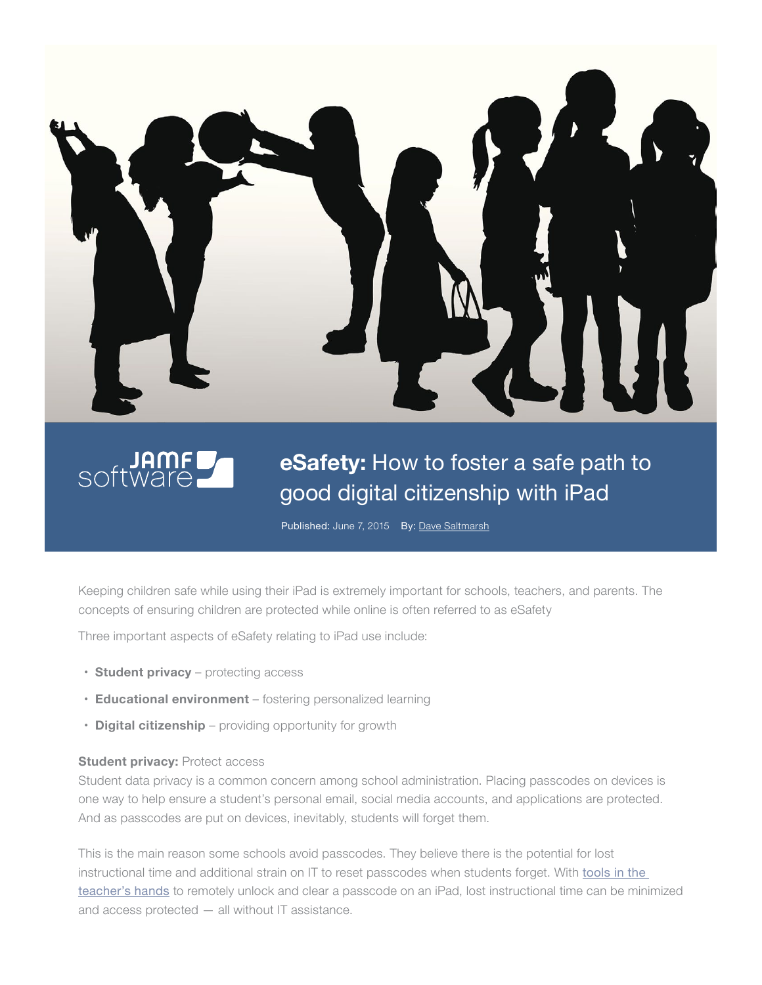



## **eSafety:** How to foster a safe path to good digital citizenship with iPad

Published: June 7, 2015 By: [Dave Saltmarsh](https://plus.google.com/110251807319187530651/about)

Keeping children safe while using their iPad is extremely important for schools, teachers, and parents. The concepts of ensuring children are protected while online is often referred to as eSafety

Three important aspects of eSafety relating to iPad use include:

- **• Student privacy** protecting access
- **• Educational environment** fostering personalized learning
- **• Digital citizenship** providing opportunity for growth

## **Student privacy: Protect access**

Student data privacy is a common concern among school administration. Placing passcodes on devices is one way to help ensure a student's personal email, social media accounts, and applications are protected. And as passcodes are put on devices, inevitably, students will forget them.

This is the main reason some schools avoid passcodes. They believe there is the potential for lost instructional time and additional strain on IT to reset passcodes when students forget. With [tools in the](http://www.jamfsoftware.com/solutions/education/classroom-management)  [teacher's hands](http://www.jamfsoftware.com/solutions/education/classroom-management) to remotely unlock and clear a passcode on an iPad, lost instructional time can be minimized and access protected — all without IT assistance.